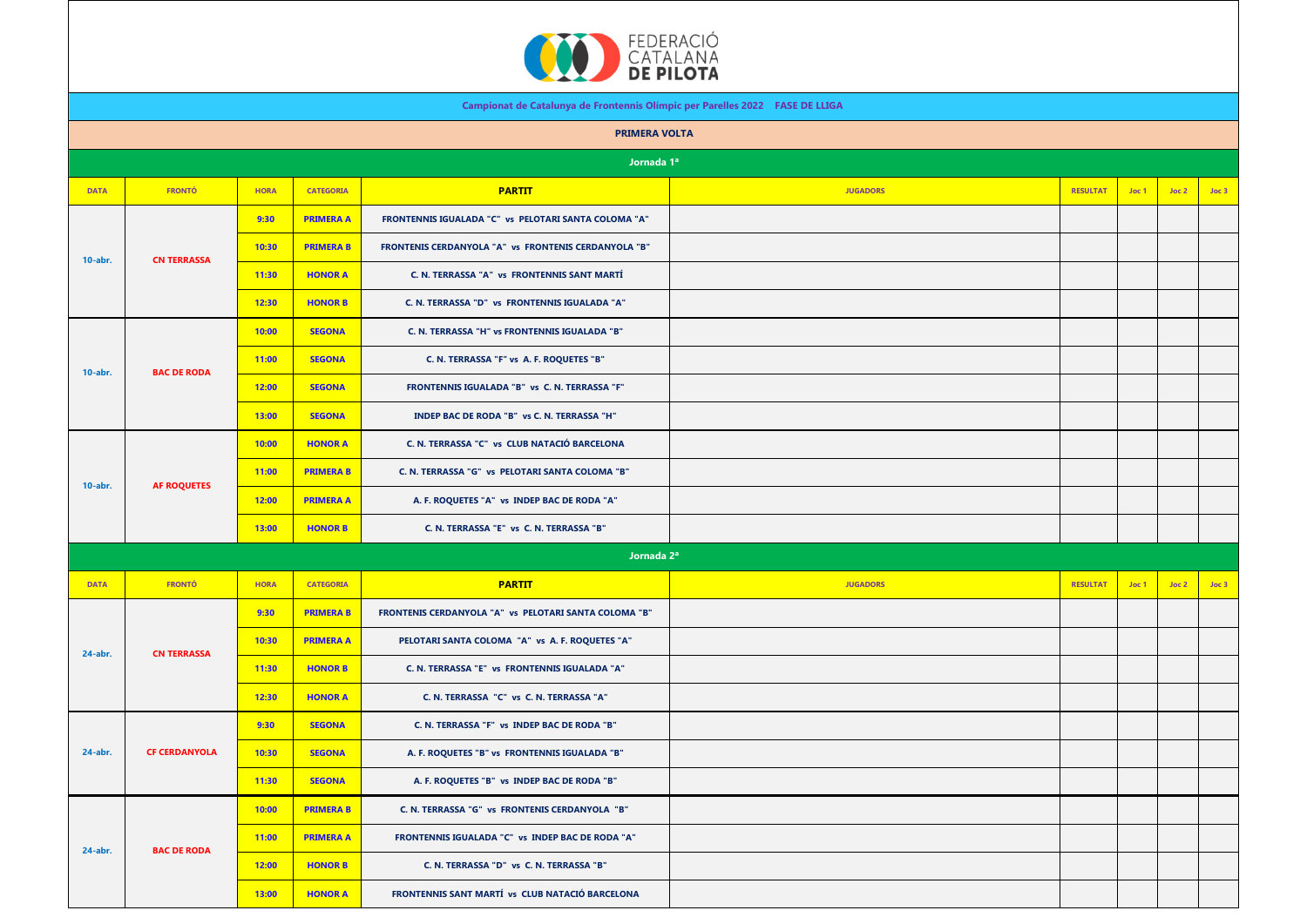

|             |                      |             |                  | <b>EXAMPLE DE PILOTA</b>                                                     |                                                       |                 |       |       |       |  |
|-------------|----------------------|-------------|------------------|------------------------------------------------------------------------------|-------------------------------------------------------|-----------------|-------|-------|-------|--|
|             |                      |             |                  | Campionat de Catalunya de Frontennis Olímpic per Parelles 2022 FASE DE LLIGA |                                                       |                 |       |       |       |  |
|             |                      |             |                  | <b>PRIMERA VOLTA</b>                                                         |                                                       |                 |       |       |       |  |
|             |                      |             |                  | Jornada 1ª                                                                   |                                                       |                 |       |       |       |  |
| <b>DATA</b> | <b>FRONTÓ</b>        | <b>HORA</b> | <b>CATEGORIA</b> | <b>PARTIT</b>                                                                | <b>JUGADORS</b>                                       | <b>RESULTAT</b> | Joc 1 | Joc 2 | Joc 3 |  |
|             | <b>CN TERRASSA</b>   | 9:30        | <b>PRIMERA A</b> | FRONTENNIS IGUALADA "C" vs PELOTARI SANTA COLOMA "A"                         |                                                       |                 |       |       |       |  |
| 10-abr.     |                      | 10:30       | <b>PRIMERA B</b> | FRONTENIS CERDANYOLA "A" vs FRONTENIS CERDANYOLA "B"                         |                                                       |                 |       |       |       |  |
|             |                      | 11:30       | <b>HONOR A</b>   | C. N. TERRASSA "A" vs FRONTENNIS SANT MARTÍ                                  |                                                       |                 |       |       |       |  |
|             |                      | 12:30       | <b>HONOR B</b>   | C. N. TERRASSA "D" vs FRONTENNIS IGUALADA "A"                                |                                                       |                 |       |       |       |  |
|             | <b>BAC DE RODA</b>   | 10:00       | <b>SEGONA</b>    | C. N. TERRASSA "H" vs FRONTENNIS IGUALADA "B"                                |                                                       |                 |       |       |       |  |
|             |                      | 11:00       | <b>SEGONA</b>    | C. N. TERRASSA "F" vs A. F. ROQUETES "B"                                     |                                                       |                 |       |       |       |  |
| $10$ -abr.  |                      | 12:00       | <b>SEGONA</b>    | FRONTENNIS IGUALADA "B" vs C. N. TERRASSA "F"                                |                                                       |                 |       |       |       |  |
|             |                      | 13:00       | <b>SEGONA</b>    | INDEP BAC DE RODA "B" vs C. N. TERRASSA "H"                                  |                                                       |                 |       |       |       |  |
|             | <b>AF ROQUETES</b>   | 10:00       | <b>HONOR A</b>   | C. N. TERRASSA "C" vs CLUB NATACIÓ BARCELONA                                 |                                                       |                 |       |       |       |  |
|             |                      | 11:00       | <b>PRIMERA B</b> | C. N. TERRASSA "G" vs PELOTARI SANTA COLOMA "B"                              |                                                       |                 |       |       |       |  |
| 10-abr.     |                      | 12:00       | <b>PRIMERA A</b> | A. F. ROQUETES "A" vs INDEP BAC DE RODA "A"                                  |                                                       |                 |       |       |       |  |
|             |                      | 13:00       | <b>HONOR B</b>   | C. N. TERRASSA "E" vs C. N. TERRASSA "B"                                     |                                                       |                 |       |       |       |  |
|             |                      |             |                  | Jornada 2 <sup>a</sup>                                                       |                                                       |                 |       |       |       |  |
| <b>DATA</b> | <b>FRONTÓ</b>        | <b>HORA</b> | <b>CATEGORIA</b> | <b>PARTIT</b>                                                                | <b>JUGADORS</b>                                       | <b>RESULTAT</b> | Joc 1 | Joc 2 | Joc 3 |  |
|             | <b>CN TERRASSA</b>   |             | 9:30             | <b>PRIMERA B</b>                                                             | FRONTENIS CERDANYOLA "A" vs PELOTARI SANTA COLOMA "B" |                 |       |       |       |  |
|             |                      | 10:30       | <b>PRIMERA A</b> | PELOTARI SANTA COLOMA "A" vs A. F. ROQUETES "A"                              |                                                       |                 |       |       |       |  |
| 24-abr.     |                      | 11:30       | <b>HONOR B</b>   | C. N. TERRASSA "E" vs FRONTENNIS IGUALADA "A"                                |                                                       |                 |       |       |       |  |
|             |                      | 12:30       | <b>HONOR A</b>   | C. N. TERRASSA "C" vs C. N. TERRASSA "A"                                     |                                                       |                 |       |       |       |  |
|             | <b>CF CERDANYOLA</b> | 9:30        | <b>SEGONA</b>    | C. N. TERRASSA "F" vs INDEP BAC DE RODA "B"                                  |                                                       |                 |       |       |       |  |
| 24-abr.     |                      | 10:30       | <b>SEGONA</b>    | A. F. ROQUETES "B" vs FRONTENNIS IGUALADA "B"                                |                                                       |                 |       |       |       |  |
|             |                      | 11:30       | <b>SEGONA</b>    | A. F. ROQUETES "B" vs INDEP BAC DE RODA "B"                                  |                                                       |                 |       |       |       |  |
|             |                      | 10:00       | <b>PRIMERA B</b> | C. N. TERRASSA "G" vs FRONTENIS CERDANYOLA "B"                               |                                                       |                 |       |       |       |  |
|             |                      | 11:00       | <b>PRIMERA A</b> | FRONTENNIS IGUALADA "C" vs INDEP BAC DE RODA "A"                             |                                                       |                 |       |       |       |  |
| 24-abr.     | <b>BAC DE RODA</b>   |             |                  |                                                                              |                                                       |                 |       |       |       |  |

**12:00 HONOR B C. N. TERRASSA "D" vs C. N. TERRASSA "B"**

**13:00 HONOR A FRONTENNIS SANT MARTÍ vs CLUB NATACIÓ BARCELONA**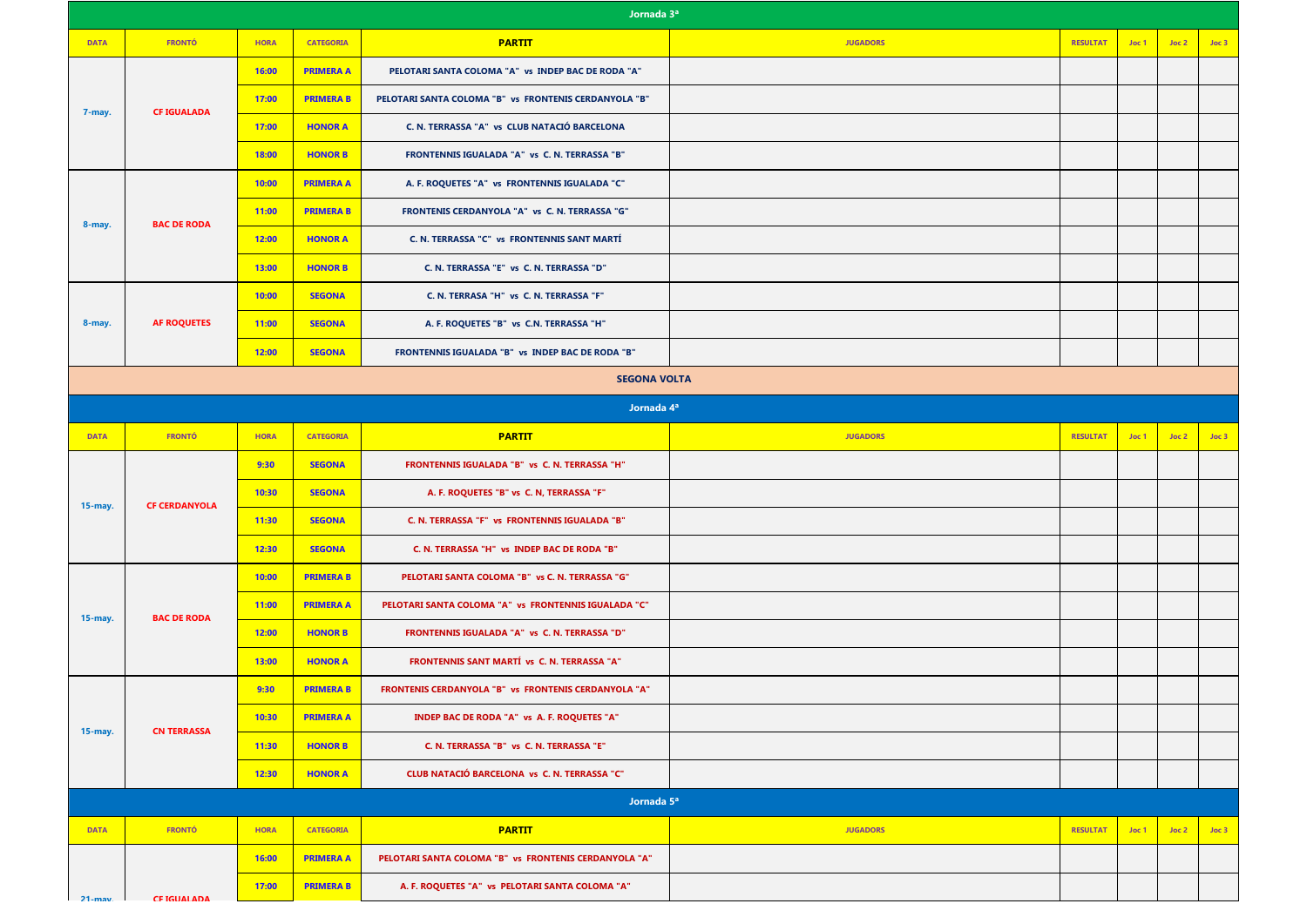| Jornada 3ª  |                      |             |                  |                                                       |                 |                 |       |       |       |  |
|-------------|----------------------|-------------|------------------|-------------------------------------------------------|-----------------|-----------------|-------|-------|-------|--|
| <b>DATA</b> | <b>FRONTÓ</b>        | <b>HORA</b> | <b>CATEGORIA</b> | <b>PARTIT</b>                                         | <b>JUGADORS</b> | <b>RESULTAT</b> | Joc 1 | Joc 2 | Joc 3 |  |
|             | <b>CF IGUALADA</b>   | 16:00       | <b>PRIMERA A</b> | PELOTARI SANTA COLOMA "A" vs INDEP BAC DE RODA "A"    |                 |                 |       |       |       |  |
|             |                      | 17:00       | <b>PRIMERA B</b> | PELOTARI SANTA COLOMA "B" vs FRONTENIS CERDANYOLA "B" |                 |                 |       |       |       |  |
| 7-may.      |                      | 17:00       | <b>HONOR A</b>   | C. N. TERRASSA "A" vs CLUB NATACIÓ BARCELONA          |                 |                 |       |       |       |  |
|             |                      | 18:00       | <b>HONOR B</b>   | FRONTENNIS IGUALADA "A" vs C. N. TERRASSA "B"         |                 |                 |       |       |       |  |
|             | <b>BAC DE RODA</b>   | 10:00       | <b>PRIMERA A</b> | A. F. ROQUETES "A" vs FRONTENNIS IGUALADA "C"         |                 |                 |       |       |       |  |
| 8-may.      |                      | 11:00       | <b>PRIMERA B</b> | FRONTENIS CERDANYOLA "A" vs C. N. TERRASSA "G"        |                 |                 |       |       |       |  |
|             |                      | 12:00       | <b>HONOR A</b>   | C. N. TERRASSA "C" vs FRONTENNIS SANT MARTÍ           |                 |                 |       |       |       |  |
|             |                      | 13:00       | <b>HONOR B</b>   | C. N. TERRASSA "E" vs C. N. TERRASSA "D"              |                 |                 |       |       |       |  |
|             |                      | 10:00       | <b>SEGONA</b>    | C. N. TERRASA "H" vs C. N. TERRASSA "F"               |                 |                 |       |       |       |  |
| 8-may.      | <b>AF ROQUETES</b>   | 11:00       | <b>SEGONA</b>    | A. F. ROQUETES "B" vs C.N. TERRASSA "H"               |                 |                 |       |       |       |  |
|             |                      | 12:00       | <b>SEGONA</b>    | FRONTENNIS IGUALADA "B" vs INDEP BAC DE RODA "B"      |                 |                 |       |       |       |  |
|             |                      |             |                  | <b>SEGONA VOLTA</b>                                   |                 |                 |       |       |       |  |
|             |                      |             |                  | Jornada 4ª                                            |                 |                 |       |       |       |  |
| <b>DATA</b> | <b>FRONTÓ</b>        | <b>HORA</b> | <b>CATEGORIA</b> | <b>PARTIT</b>                                         | <b>JUGADORS</b> | <b>RESULTAT</b> | Joc 1 | Joc 2 | Joc 3 |  |
|             |                      |             |                  |                                                       |                 |                 |       |       |       |  |
|             |                      | 9:30        | <b>SEGONA</b>    | FRONTENNIS IGUALADA "B" vs C. N. TERRASSA "H"         |                 |                 |       |       |       |  |
|             |                      | 10:30       | <b>SEGONA</b>    | A. F. ROQUETES "B" vs C. N, TERRASSA "F"              |                 |                 |       |       |       |  |
| 15-may.     | <b>CF CERDANYOLA</b> | 11:30       | <b>SEGONA</b>    | C. N. TERRASSA "F" vs FRONTENNIS IGUALADA "B"         |                 |                 |       |       |       |  |
|             |                      | 12:30       | <b>SEGONA</b>    | C. N. TERRASSA "H" vs INDEP BAC DE RODA "B"           |                 |                 |       |       |       |  |
|             |                      | 10:00       | <b>PRIMERA B</b> | PELOTARI SANTA COLOMA "B" vs C. N. TERRASSA "G"       |                 |                 |       |       |       |  |
|             |                      | 11:00       | <b>PRIMERA A</b> | PELOTARI SANTA COLOMA "A" vs FRONTENNIS IGUALADA "C"  |                 |                 |       |       |       |  |
| 15-may.     | <b>BAC DE RODA</b>   | 12:00       | <b>HONOR B</b>   | FRONTENNIS IGUALADA "A" vs C. N. TERRASSA "D"         |                 |                 |       |       |       |  |
|             |                      | 13:00       | <b>HONOR A</b>   | FRONTENNIS SANT MARTÍ vs C. N. TERRASSA "A"           |                 |                 |       |       |       |  |
|             |                      | 9:30        | <b>PRIMERA B</b> | FRONTENIS CERDANYOLA "B" vs FRONTENIS CERDANYOLA "A"  |                 |                 |       |       |       |  |
|             | <b>CN TERRASSA</b>   | 10:30       | <b>PRIMERA A</b> | INDEP BAC DE RODA "A" vs A. F. ROQUETES "A"           |                 |                 |       |       |       |  |
| 15-may.     |                      | 11:30       | <b>HONOR B</b>   | C. N. TERRASSA "B" vs C. N. TERRASSA "E"              |                 |                 |       |       |       |  |
|             |                      | 12:30       | <b>HONOR A</b>   | CLUB NATACIÓ BARCELONA vs C. N. TERRASSA "C"          |                 |                 |       |       |       |  |
|             |                      |             |                  | Jornada 5 <sup>a</sup>                                |                 |                 |       |       |       |  |
| <b>DATA</b> | <b>FRONTÓ</b>        | <b>HORA</b> | <b>CATEGORIA</b> | <b>PARTIT</b>                                         | <b>JUGADORS</b> | <b>RESULTAT</b> | Joc 1 | Joc 2 | Joc 3 |  |
|             |                      | 16:00       | <b>PRIMERA A</b> | PELOTARI SANTA COLOMA "B" vs FRONTENIS CERDANYOLA "A" |                 |                 |       |       |       |  |